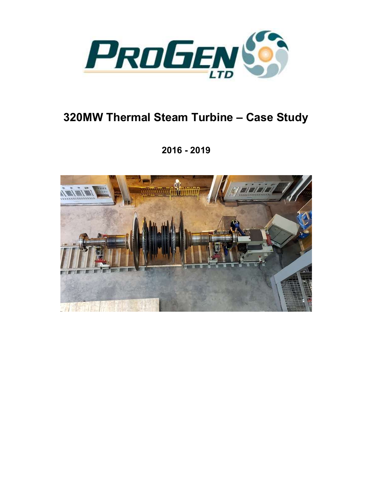

## 320MW Thermal Steam Turbine – Case Study

2016 - 2019

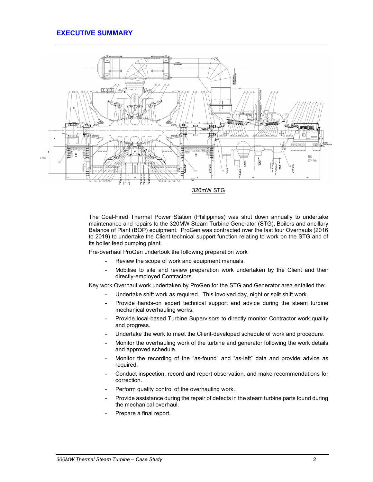## EXECUTIVE SUMMARY



The Coal-Fired Thermal Power Station (Philippines) was shut down annually to undertake maintenance and repairs to the 320MW Steam Turbine Generator (STG), Boilers and ancillary Balance of Plant (BOP) equipment. ProGen was contracted over the last four Overhauls (2016 to 2019) to undertake the Client technical support function relating to work on the STG and of its boiler feed pumping plant.

Pre-overhaul ProGen undertook the following preparation work

- Review the scope of work and equipment manuals.
- Mobilise to site and review preparation work undertaken by the Client and their directly-employed Contractors.

Key work Overhaul work undertaken by ProGen for the STG and Generator area entailed the:

- Undertake shift work as required. This involved day, night or split shift work.
- Provide hands-on expert technical support and advice during the steam turbine mechanical overhauling works.
- Provide local-based Turbine Supervisors to directly monitor Contractor work quality and progress.
- Undertake the work to meet the Client-developed schedule of work and procedure.
- Monitor the overhauling work of the turbine and generator following the work details and approved schedule.
- Monitor the recording of the "as-found" and "as-left" data and provide advice as required.
- Conduct inspection, record and report observation, and make recommendations for correction.
- Perform quality control of the overhauling work.
- Provide assistance during the repair of defects in the steam turbine parts found during the mechanical overhaul.
- Prepare a final report.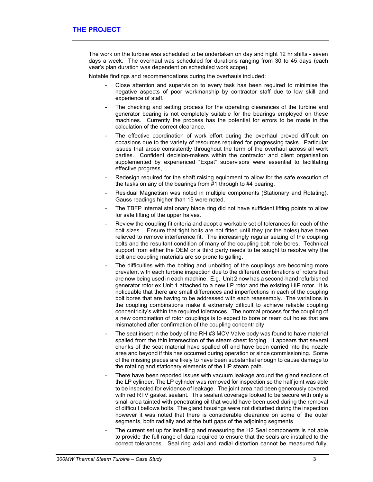The work on the turbine was scheduled to be undertaken on day and night 12 hr shifts - seven days a week. The overhaul was scheduled for durations ranging from 30 to 45 days (each year's plan duration was dependent on scheduled work scope).

Notable findings and recommendations during the overhauls included:

- Close attention and supervision to every task has been required to minimise the negative aspects of poor workmanship by contractor staff due to low skill and experience of staff.
- The checking and setting process for the operating clearances of the turbine and generator bearing is not completely suitable for the bearings employed on these machines. Currently the process has the potential for errors to be made in the calculation of the correct clearance.
- The effective coordination of work effort during the overhaul proved difficult on occasions due to the variety of resources required for progressing tasks. Particular issues that arose consistently throughout the term of the overhaul across all work parties. Confident decision-makers within the contractor and client organisation supplemented by experienced "Expat" supervisors were essential to facilitating effective progress,
- Redesign required for the shaft raising equipment to allow for the safe execution of the tasks on any of the bearings from #1 through to #4 bearing.
- Residual Magnetism was noted in multiple components (Stationary and Rotating). Gauss readings higher than 15 were noted.
- The TBFP internal stationary blade ring did not have sufficient lifting points to allow for safe lifting of the upper halves.
- Review the coupling fit criteria and adopt a workable set of tolerances for each of the bolt sizes. Ensure that tight bolts are not fitted until they (or the holes) have been relieved to remove interference fit. The increasingly regular seizing of the coupling bolts and the resultant condition of many of the coupling bolt hole bores. Technical support from either the OEM or a third party needs to be sought to resolve why the bolt and coupling materials are so prone to galling.
- The difficulties with the bolting and unbolting of the couplings are becoming more prevalent with each turbine inspection due to the different combinations of rotors that are now being used in each machine. E.g. Unit 2 now has a second-hand refurbished generator rotor ex Unit 1 attached to a new LP rotor and the existing HIP rotor. It is noticeable that there are small differences and imperfections in each of the coupling bolt bores that are having to be addressed with each reassembly. The variations in the coupling combinations make it extremely difficult to achieve reliable coupling concentricity's within the required tolerances. The normal process for the coupling of a new combination of rotor couplings is to expect to bore or ream out holes that are mismatched after confirmation of the coupling concentricity.
- The seat insert in the body of the RH #3 MCV Valve body was found to have material spalled from the thin intersection of the steam chest forging. It appears that several chunks of the seat material have spalled off and have been carried into the nozzle area and beyond if this has occurred during operation or since commissioning. Some of the missing pieces are likely to have been substantial enough to cause damage to the rotating and stationary elements of the HP steam path.
- There have been reported issues with vacuum leakage around the gland sections of the LP cylinder. The LP cylinder was removed for inspection so the half joint was able to be inspected for evidence of leakage. The joint area had been generously covered with red RTV gasket sealant. This sealant coverage looked to be secure with only a small area tainted with penetrating oil that would have been used during the removal of difficult bellows bolts. The gland housings were not disturbed during the inspection however it was noted that there is considerable clearance on some of the outer segments, both radially and at the butt gaps of the adjoining segments
- The current set up for installing and measuring the H2 Seal components is not able to provide the full range of data required to ensure that the seals are installed to the correct tolerances. Seal ring axial and radial distortion cannot be measured fully.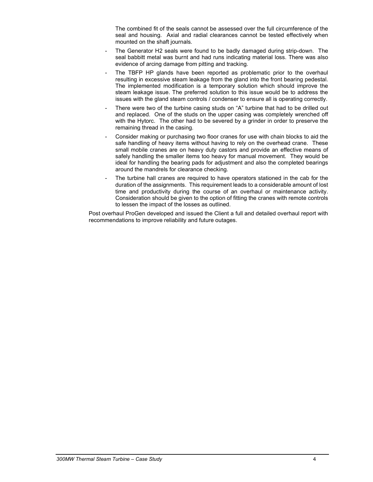The combined fit of the seals cannot be assessed over the full circumference of the seal and housing. Axial and radial clearances cannot be tested effectively when mounted on the shaft journals.

- The Generator H2 seals were found to be badly damaged during strip-down. The seal babbitt metal was burnt and had runs indicating material loss. There was also evidence of arcing damage from pitting and tracking.
- The TBFP HP glands have been reported as problematic prior to the overhaul resulting in excessive steam leakage from the gland into the front bearing pedestal. The implemented modification is a temporary solution which should improve the steam leakage issue. The preferred solution to this issue would be to address the issues with the gland steam controls / condenser to ensure all is operating correctly.
- There were two of the turbine casing studs on "A" turbine that had to be drilled out and replaced. One of the studs on the upper casing was completely wrenched off with the Hytorc. The other had to be severed by a grinder in order to preserve the remaining thread in the casing.
- Consider making or purchasing two floor cranes for use with chain blocks to aid the safe handling of heavy items without having to rely on the overhead crane. These small mobile cranes are on heavy duty castors and provide an effective means of safely handling the smaller items too heavy for manual movement. They would be ideal for handling the bearing pads for adjustment and also the completed bearings around the mandrels for clearance checking.
- The turbine hall cranes are required to have operators stationed in the cab for the duration of the assignments. This requirement leads to a considerable amount of lost time and productivity during the course of an overhaul or maintenance activity. Consideration should be given to the option of fitting the cranes with remote controls to lessen the impact of the losses as outlined.

Post overhaul ProGen developed and issued the Client a full and detailed overhaul report with recommendations to improve reliability and future outages.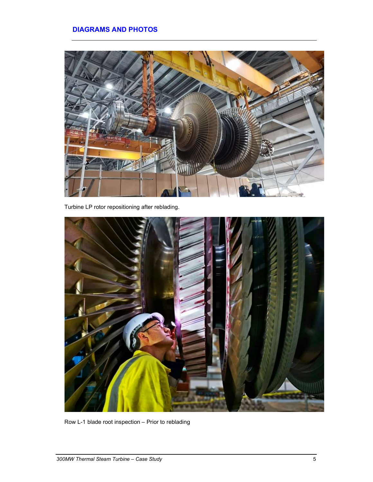## DIAGRAMS AND PHOTOS



Turbine LP rotor repositioning after reblading.



Row L-1 blade root inspection – Prior to reblading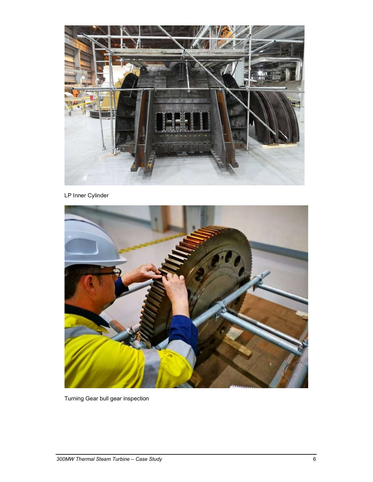

LP Inner Cylinder



Turning Gear bull gear inspection